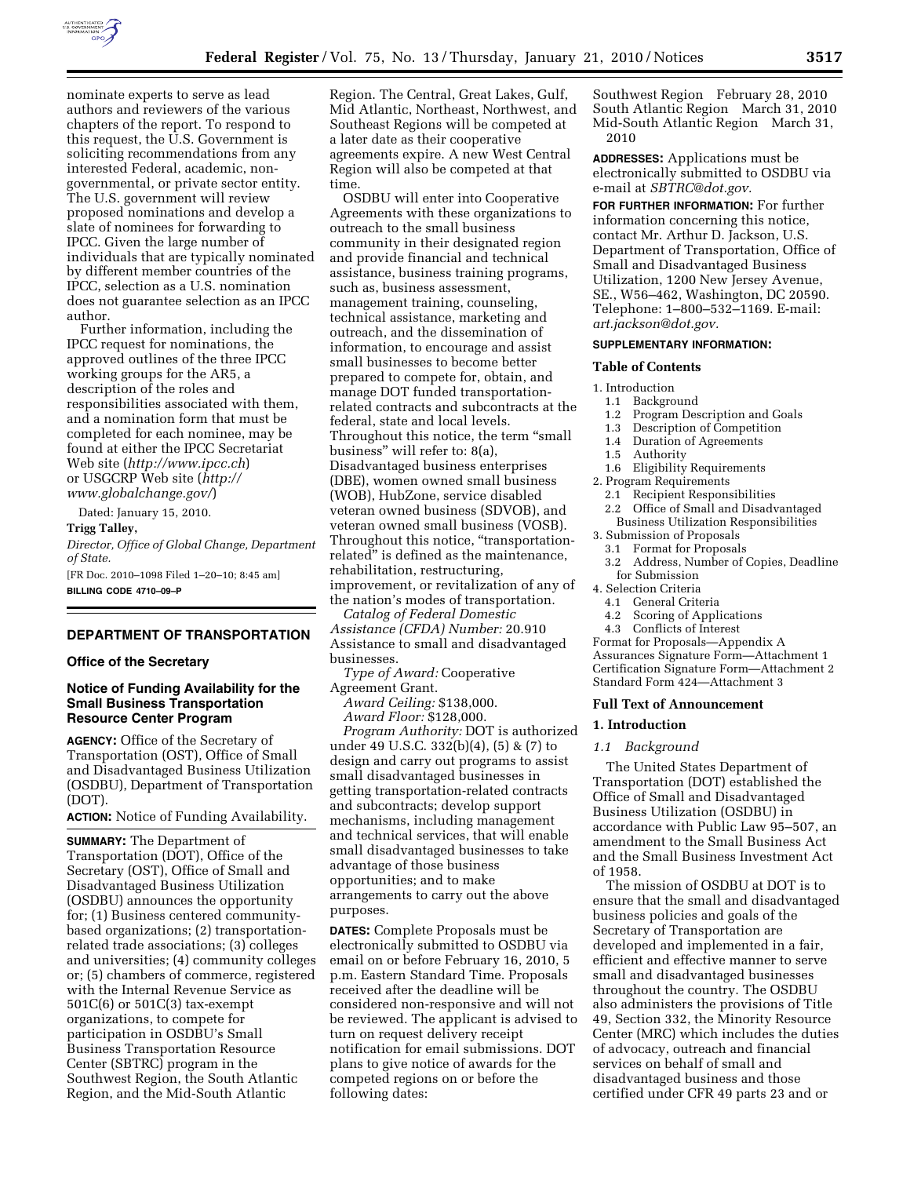

nominate experts to serve as lead authors and reviewers of the various chapters of the report. To respond to this request, the U.S. Government is soliciting recommendations from any interested Federal, academic, nongovernmental, or private sector entity. The U.S. government will review proposed nominations and develop a slate of nominees for forwarding to IPCC. Given the large number of individuals that are typically nominated by different member countries of the IPCC, selection as a U.S. nomination does not guarantee selection as an IPCC author.

Further information, including the IPCC request for nominations, the approved outlines of the three IPCC working groups for the AR5, a description of the roles and responsibilities associated with them, and a nomination form that must be completed for each nominee, may be found at either the IPCC Secretariat Web site (*http://www.ipcc.ch*) or USGCRP Web site (*http:// www.globalchange.gov/*)

Dated: January 15, 2010.

### **Trigg Talley,**

*Director, Office of Global Change, Department of State.* 

[FR Doc. 2010–1098 Filed 1–20–10; 8:45 am] **BILLING CODE 4710–09–P** 

# **DEPARTMENT OF TRANSPORTATION**

### **Office of the Secretary**

# **Notice of Funding Availability for the Small Business Transportation Resource Center Program**

**AGENCY:** Office of the Secretary of Transportation (OST), Office of Small and Disadvantaged Business Utilization (OSDBU), Department of Transportation (DOT).

**ACTION:** Notice of Funding Availability.

**SUMMARY:** The Department of Transportation (DOT), Office of the Secretary (OST), Office of Small and Disadvantaged Business Utilization (OSDBU) announces the opportunity for; (1) Business centered communitybased organizations; (2) transportationrelated trade associations; (3) colleges and universities; (4) community colleges or; (5) chambers of commerce, registered with the Internal Revenue Service as 501C(6) or 501C(3) tax-exempt organizations, to compete for participation in OSDBU's Small Business Transportation Resource Center (SBTRC) program in the Southwest Region, the South Atlantic Region, and the Mid-South Atlantic

Region. The Central, Great Lakes, Gulf, Mid Atlantic, Northeast, Northwest, and Southeast Regions will be competed at a later date as their cooperative agreements expire. A new West Central Region will also be competed at that time.

OSDBU will enter into Cooperative Agreements with these organizations to outreach to the small business community in their designated region and provide financial and technical assistance, business training programs, such as, business assessment, management training, counseling, technical assistance, marketing and outreach, and the dissemination of information, to encourage and assist small businesses to become better prepared to compete for, obtain, and manage DOT funded transportationrelated contracts and subcontracts at the federal, state and local levels. Throughout this notice, the term ''small business'' will refer to: 8(a), Disadvantaged business enterprises (DBE), women owned small business (WOB), HubZone, service disabled veteran owned business (SDVOB), and veteran owned small business (VOSB). Throughout this notice, "transportationrelated'' is defined as the maintenance, rehabilitation, restructuring, improvement, or revitalization of any of the nation's modes of transportation.

*Catalog of Federal Domestic Assistance (CFDA) Number:* 20.910 Assistance to small and disadvantaged businesses.

*Type of Award:* Cooperative

Agreement Grant.

*Award Ceiling:* \$138,000. *Award Floor:* \$128,000.

*Program Authority:* DOT is authorized under 49 U.S.C. 332(b)(4), (5) & (7) to design and carry out programs to assist small disadvantaged businesses in getting transportation-related contracts and subcontracts; develop support mechanisms, including management and technical services, that will enable small disadvantaged businesses to take advantage of those business opportunities; and to make arrangements to carry out the above purposes.

**DATES:** Complete Proposals must be electronically submitted to OSDBU via email on or before February 16, 2010, 5 p.m. Eastern Standard Time. Proposals received after the deadline will be considered non-responsive and will not be reviewed. The applicant is advised to turn on request delivery receipt notification for email submissions. DOT plans to give notice of awards for the competed regions on or before the following dates:

Southwest Region February 28, 2010 South Atlantic Region March 31, 2010 Mid-South Atlantic Region March 31, 2010

**ADDRESSES:** Applications must be electronically submitted to OSDBU via e-mail at *SBTRC@dot.gov.* 

**FOR FURTHER INFORMATION:** For further information concerning this notice, contact Mr. Arthur D. Jackson, U.S. Department of Transportation, Office of Small and Disadvantaged Business Utilization, 1200 New Jersey Avenue, SE., W56–462, Washington, DC 20590. Telephone: 1–800–532–1169. E-mail: *art.jackson@dot.gov.* 

### **SUPPLEMENTARY INFORMATION:**

### **Table of Contents**

- 1. Introduction
	- 1.1 Background
	- 1.2 Program Description and Goals<br>1.3 Description of Competition
- Description of Competition
- 1.4 Duration of Agreements<br>1.5 Authority
- **Authority**
- 1.6 Eligibility Requirements
- 2. Program Requirements
	- 2.1 Recipient Responsibilities
- 2.2 Office of Small and Disadvantaged Business Utilization Responsibilities
- 3. Submission of Proposals
	- 3.1 Format for Proposals
- 3.2 Address, Number of Copies, Deadline for Submission
- 4. Selection Criteria
	- 4.1 General Criteria
	- 4.2 Scoring of Applications
- 4.3 Conflicts of Interest

Format for Proposals—Appendix A Assurances Signature Form—Attachment 1 Certification Signature Form—Attachment 2 Standard Form 424—Attachment 3

### **Full Text of Announcement**

### **1. Introduction**

### *1.1 Background*

The United States Department of Transportation (DOT) established the Office of Small and Disadvantaged Business Utilization (OSDBU) in accordance with Public Law 95–507, an amendment to the Small Business Act and the Small Business Investment Act of 1958.

The mission of OSDBU at DOT is to ensure that the small and disadvantaged business policies and goals of the Secretary of Transportation are developed and implemented in a fair, efficient and effective manner to serve small and disadvantaged businesses throughout the country. The OSDBU also administers the provisions of Title 49, Section 332, the Minority Resource Center (MRC) which includes the duties of advocacy, outreach and financial services on behalf of small and disadvantaged business and those certified under CFR 49 parts 23 and or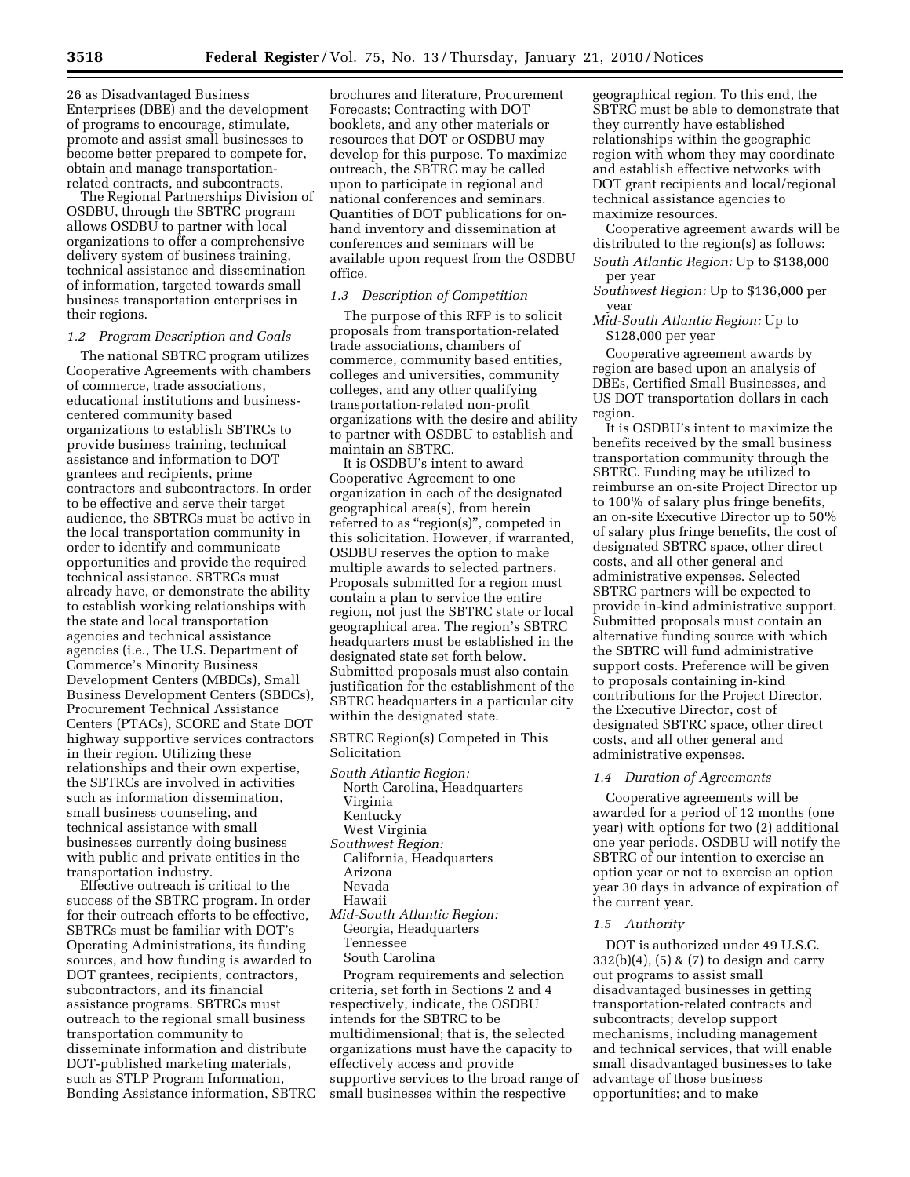26 as Disadvantaged Business Enterprises (DBE) and the development of programs to encourage, stimulate, promote and assist small businesses to become better prepared to compete for, obtain and manage transportationrelated contracts, and subcontracts.

The Regional Partnerships Division of OSDBU, through the SBTRC program allows OSDBU to partner with local organizations to offer a comprehensive delivery system of business training, technical assistance and dissemination of information, targeted towards small business transportation enterprises in their regions.

### *1.2 Program Description and Goals*

The national SBTRC program utilizes Cooperative Agreements with chambers of commerce, trade associations, educational institutions and businesscentered community based organizations to establish SBTRCs to provide business training, technical assistance and information to DOT grantees and recipients, prime contractors and subcontractors. In order to be effective and serve their target audience, the SBTRCs must be active in the local transportation community in order to identify and communicate opportunities and provide the required technical assistance. SBTRCs must already have, or demonstrate the ability to establish working relationships with the state and local transportation agencies and technical assistance agencies (i.e., The U.S. Department of Commerce's Minority Business Development Centers (MBDCs), Small Business Development Centers (SBDCs), Procurement Technical Assistance Centers (PTACs), SCORE and State DOT highway supportive services contractors in their region. Utilizing these relationships and their own expertise, the SBTRCs are involved in activities such as information dissemination, small business counseling, and technical assistance with small businesses currently doing business with public and private entities in the transportation industry.

Effective outreach is critical to the success of the SBTRC program. In order for their outreach efforts to be effective, SBTRCs must be familiar with DOT's Operating Administrations, its funding sources, and how funding is awarded to DOT grantees, recipients, contractors, subcontractors, and its financial assistance programs. SBTRCs must outreach to the regional small business transportation community to disseminate information and distribute DOT-published marketing materials, such as STLP Program Information, Bonding Assistance information, SBTRC

brochures and literature, Procurement Forecasts; Contracting with DOT booklets, and any other materials or resources that DOT or OSDBU may develop for this purpose. To maximize outreach, the SBTRC may be called upon to participate in regional and national conferences and seminars. Quantities of DOT publications for onhand inventory and dissemination at conferences and seminars will be available upon request from the OSDBU office.

# *1.3 Description of Competition*

The purpose of this RFP is to solicit proposals from transportation-related trade associations, chambers of commerce, community based entities, colleges and universities, community colleges, and any other qualifying transportation-related non-profit organizations with the desire and ability to partner with OSDBU to establish and maintain an SBTRC.

It is OSDBU's intent to award Cooperative Agreement to one organization in each of the designated geographical area(s), from herein referred to as "region(s)", competed in this solicitation. However, if warranted, OSDBU reserves the option to make multiple awards to selected partners. Proposals submitted for a region must contain a plan to service the entire region, not just the SBTRC state or local geographical area. The region's SBTRC headquarters must be established in the designated state set forth below. Submitted proposals must also contain justification for the establishment of the SBTRC headquarters in a particular city within the designated state.

SBTRC Region(s) Competed in This Solicitation

*South Atlantic Region:*  North Carolina, Headquarters Virginia Kentucky West Virginia *Southwest Region:*  California, Headquarters Arizona Nevada Hawaii *Mid-South Atlantic Region:*  Georgia, Headquarters Tennessee

South Carolina

Program requirements and selection criteria, set forth in Sections 2 and 4 respectively, indicate, the OSDBU intends for the SBTRC to be multidimensional; that is, the selected organizations must have the capacity to effectively access and provide supportive services to the broad range of small businesses within the respective

geographical region. To this end, the SBTRC must be able to demonstrate that they currently have established relationships within the geographic region with whom they may coordinate and establish effective networks with DOT grant recipients and local/regional technical assistance agencies to maximize resources.

Cooperative agreement awards will be distributed to the region(s) as follows: *South Atlantic Region:* Up to \$138,000 per year

*Southwest Region:* Up to \$136,000 per year

*Mid-South Atlantic Region:* Up to \$128,000 per year

Cooperative agreement awards by region are based upon an analysis of DBEs, Certified Small Businesses, and US DOT transportation dollars in each region.

It is OSDBU's intent to maximize the benefits received by the small business transportation community through the SBTRC. Funding may be utilized to reimburse an on-site Project Director up to 100% of salary plus fringe benefits, an on-site Executive Director up to 50% of salary plus fringe benefits, the cost of designated SBTRC space, other direct costs, and all other general and administrative expenses. Selected SBTRC partners will be expected to provide in-kind administrative support. Submitted proposals must contain an alternative funding source with which the SBTRC will fund administrative support costs. Preference will be given to proposals containing in-kind contributions for the Project Director, the Executive Director, cost of designated SBTRC space, other direct costs, and all other general and administrative expenses.

#### *1.4 Duration of Agreements*

Cooperative agreements will be awarded for a period of 12 months (one year) with options for two (2) additional one year periods. OSDBU will notify the SBTRC of our intention to exercise an option year or not to exercise an option year 30 days in advance of expiration of the current year.

#### *1.5 Authority*

DOT is authorized under 49 U.S.C.  $332(b)(4)$ ,  $(5)$  &  $(7)$  to design and carry out programs to assist small disadvantaged businesses in getting transportation-related contracts and subcontracts; develop support mechanisms, including management and technical services, that will enable small disadvantaged businesses to take advantage of those business opportunities; and to make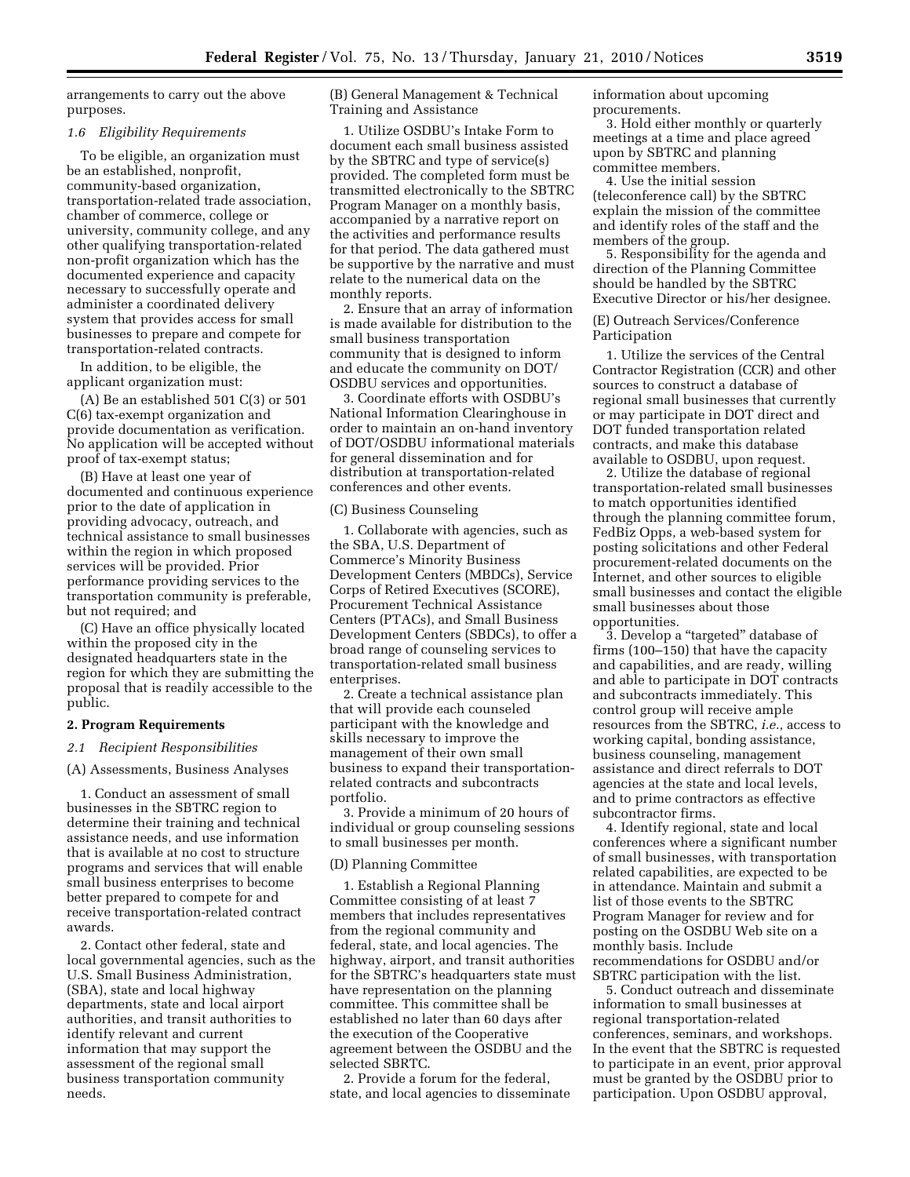arrangements to carry out the above purposes.

#### *1.6 Eligibility Requirements*

To be eligible, an organization must be an established, nonprofit, community-based organization, transportation-related trade association, chamber of commerce, college or university, community college, and any other qualifying transportation-related non-profit organization which has the documented experience and capacity necessary to successfully operate and administer a coordinated delivery system that provides access for small businesses to prepare and compete for transportation-related contracts.

In addition, to be eligible, the applicant organization must:

(A) Be an established 501 C(3) or 501 C(6) tax-exempt organization and provide documentation as verification. No application will be accepted without proof of tax-exempt status;

(B) Have at least one year of documented and continuous experience prior to the date of application in providing advocacy, outreach, and technical assistance to small businesses within the region in which proposed services will be provided. Prior performance providing services to the transportation community is preferable, but not required; and

(C) Have an office physically located within the proposed city in the designated headquarters state in the region for which they are submitting the proposal that is readily accessible to the public.

### **2. Program Requirements**

#### *2.1 Recipient Responsibilities*

(A) Assessments, Business Analyses

1. Conduct an assessment of small businesses in the SBTRC region to determine their training and technical assistance needs, and use information that is available at no cost to structure programs and services that will enable small business enterprises to become better prepared to compete for and receive transportation-related contract awards.

2. Contact other federal, state and local governmental agencies, such as the U.S. Small Business Administration, (SBA), state and local highway departments, state and local airport authorities, and transit authorities to identify relevant and current information that may support the assessment of the regional small business transportation community needs.

(B) General Management & Technical Training and Assistance

1. Utilize OSDBU's Intake Form to document each small business assisted by the SBTRC and type of service(s) provided. The completed form must be transmitted electronically to the SBTRC Program Manager on a monthly basis, accompanied by a narrative report on the activities and performance results for that period. The data gathered must be supportive by the narrative and must relate to the numerical data on the monthly reports.

2. Ensure that an array of information is made available for distribution to the small business transportation community that is designed to inform and educate the community on DOT/ OSDBU services and opportunities.

3. Coordinate efforts with OSDBU's National Information Clearinghouse in order to maintain an on-hand inventory of DOT/OSDBU informational materials for general dissemination and for distribution at transportation-related conferences and other events.

### (C) Business Counseling

1. Collaborate with agencies, such as the SBA, U.S. Department of Commerce's Minority Business Development Centers (MBDCs), Service Corps of Retired Executives (SCORE), Procurement Technical Assistance Centers (PTACs), and Small Business Development Centers (SBDCs), to offer a broad range of counseling services to transportation-related small business enterprises.

2. Create a technical assistance plan that will provide each counseled participant with the knowledge and skills necessary to improve the management of their own small business to expand their transportationrelated contracts and subcontracts portfolio.

3. Provide a minimum of 20 hours of individual or group counseling sessions to small businesses per month.

#### (D) Planning Committee

1. Establish a Regional Planning Committee consisting of at least 7 members that includes representatives from the regional community and federal, state, and local agencies. The highway, airport, and transit authorities for the SBTRC's headquarters state must have representation on the planning committee. This committee shall be established no later than 60 days after the execution of the Cooperative agreement between the OSDBU and the selected SBRTC.

2. Provide a forum for the federal, state, and local agencies to disseminate information about upcoming procurements.

3. Hold either monthly or quarterly meetings at a time and place agreed upon by SBTRC and planning committee members.

4. Use the initial session (teleconference call) by the SBTRC explain the mission of the committee and identify roles of the staff and the members of the group.

5. Responsibility for the agenda and direction of the Planning Committee should be handled by the SBTRC Executive Director or his/her designee.

(E) Outreach Services/Conference Participation

1. Utilize the services of the Central Contractor Registration (CCR) and other sources to construct a database of regional small businesses that currently or may participate in DOT direct and DOT funded transportation related contracts, and make this database available to OSDBU, upon request.

2. Utilize the database of regional transportation-related small businesses to match opportunities identified through the planning committee forum, FedBiz Opps, a web-based system for posting solicitations and other Federal procurement-related documents on the Internet, and other sources to eligible small businesses and contact the eligible small businesses about those opportunities.

3. Develop a ''targeted'' database of firms (100–150) that have the capacity and capabilities, and are ready, willing and able to participate in DOT contracts and subcontracts immediately. This control group will receive ample resources from the SBTRC, *i.e.,* access to working capital, bonding assistance, business counseling, management assistance and direct referrals to DOT agencies at the state and local levels, and to prime contractors as effective subcontractor firms.

4. Identify regional, state and local conferences where a significant number of small businesses, with transportation related capabilities, are expected to be in attendance. Maintain and submit a list of those events to the SBTRC Program Manager for review and for posting on the OSDBU Web site on a monthly basis. Include recommendations for OSDBU and/or SBTRC participation with the list.

5. Conduct outreach and disseminate information to small businesses at regional transportation-related conferences, seminars, and workshops. In the event that the SBTRC is requested to participate in an event, prior approval must be granted by the OSDBU prior to participation. Upon OSDBU approval,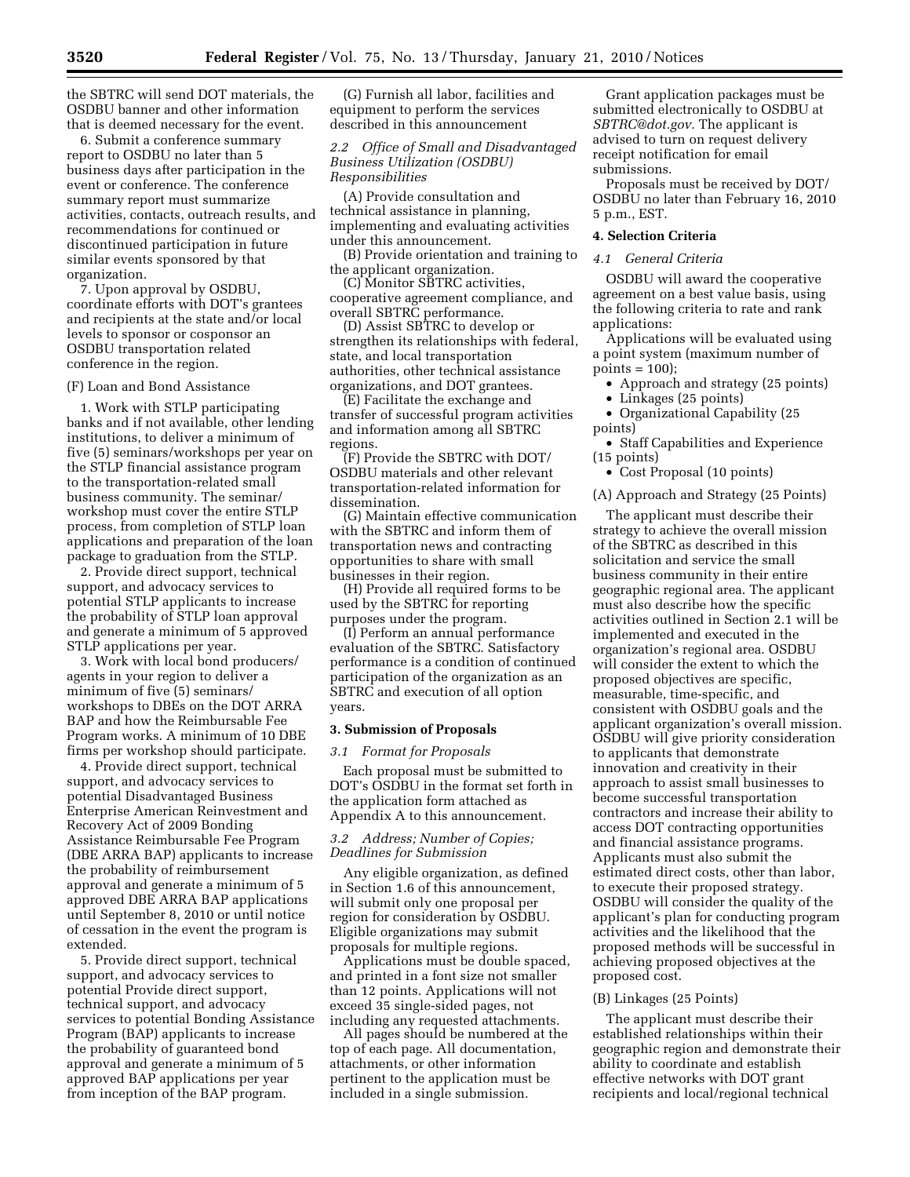the SBTRC will send DOT materials, the OSDBU banner and other information that is deemed necessary for the event.

6. Submit a conference summary report to OSDBU no later than 5 business days after participation in the event or conference. The conference summary report must summarize activities, contacts, outreach results, and recommendations for continued or discontinued participation in future similar events sponsored by that organization.

7. Upon approval by OSDBU, coordinate efforts with DOT's grantees and recipients at the state and/or local levels to sponsor or cosponsor an OSDBU transportation related conference in the region.

#### (F) Loan and Bond Assistance

1. Work with STLP participating banks and if not available, other lending institutions, to deliver a minimum of five (5) seminars/workshops per year on the STLP financial assistance program to the transportation-related small business community. The seminar/ workshop must cover the entire STLP process, from completion of STLP loan applications and preparation of the loan package to graduation from the STLP.

2. Provide direct support, technical support, and advocacy services to potential STLP applicants to increase the probability of STLP loan approval and generate a minimum of 5 approved STLP applications per year.

3. Work with local bond producers/ agents in your region to deliver a minimum of five (5) seminars/ workshops to DBEs on the DOT ARRA BAP and how the Reimbursable Fee Program works. A minimum of 10 DBE firms per workshop should participate.

4. Provide direct support, technical support, and advocacy services to potential Disadvantaged Business Enterprise American Reinvestment and Recovery Act of 2009 Bonding Assistance Reimbursable Fee Program (DBE ARRA BAP) applicants to increase the probability of reimbursement approval and generate a minimum of 5 approved DBE ARRA BAP applications until September 8, 2010 or until notice of cessation in the event the program is extended.

5. Provide direct support, technical support, and advocacy services to potential Provide direct support, technical support, and advocacy services to potential Bonding Assistance Program (BAP) applicants to increase the probability of guaranteed bond approval and generate a minimum of 5 approved BAP applications per year from inception of the BAP program.

(G) Furnish all labor, facilities and equipment to perform the services described in this announcement

# *2.2 Office of Small and Disadvantaged Business Utilization (OSDBU) Responsibilities*

(A) Provide consultation and technical assistance in planning, implementing and evaluating activities under this announcement.

(B) Provide orientation and training to the applicant organization.

(C) Monitor SBTRC activities, cooperative agreement compliance, and overall SBTRC performance.

(D) Assist SBTRC to develop or strengthen its relationships with federal, state, and local transportation authorities, other technical assistance organizations, and DOT grantees.

(E) Facilitate the exchange and transfer of successful program activities and information among all SBTRC regions.

(F) Provide the SBTRC with DOT/ OSDBU materials and other relevant transportation-related information for dissemination.

(G) Maintain effective communication with the SBTRC and inform them of transportation news and contracting opportunities to share with small businesses in their region.

(H) Provide all required forms to be used by the SBTRC for reporting purposes under the program.

(I) Perform an annual performance evaluation of the SBTRC. Satisfactory performance is a condition of continued participation of the organization as an SBTRC and execution of all option years.

#### **3. Submission of Proposals**

### *3.1 Format for Proposals*

Each proposal must be submitted to DOT's OSDBU in the format set forth in the application form attached as Appendix A to this announcement.

### *3.2 Address; Number of Copies; Deadlines for Submission*

Any eligible organization, as defined in Section 1.6 of this announcement, will submit only one proposal per region for consideration by OSDBU. Eligible organizations may submit proposals for multiple regions.

Applications must be double spaced, and printed in a font size not smaller than 12 points. Applications will not exceed 35 single-sided pages, not including any requested attachments.

All pages should be numbered at the top of each page. All documentation, attachments, or other information pertinent to the application must be included in a single submission.

Grant application packages must be submitted electronically to OSDBU at *SBTRC@dot.gov.* The applicant is advised to turn on request delivery receipt notification for email submissions.

Proposals must be received by DOT/ OSDBU no later than February 16, 2010 5 p.m., EST.

# **4. Selection Criteria**

# *4.1 General Criteria*

OSDBU will award the cooperative agreement on a best value basis, using the following criteria to rate and rank applications:

Applications will be evaluated using a point system (maximum number of  $points = 100);$ 

- Approach and strategy (25 points)
- Linkages (25 points)
- Organizational Capability (25 points)
- Staff Capabilities and Experience (15 points)
- Cost Proposal (10 points)

(A) Approach and Strategy (25 Points)

The applicant must describe their strategy to achieve the overall mission of the SBTRC as described in this solicitation and service the small business community in their entire geographic regional area. The applicant must also describe how the specific activities outlined in Section 2.1 will be implemented and executed in the organization's regional area. OSDBU will consider the extent to which the proposed objectives are specific, measurable, time-specific, and consistent with OSDBU goals and the applicant organization's overall mission. OSDBU will give priority consideration to applicants that demonstrate innovation and creativity in their approach to assist small businesses to become successful transportation contractors and increase their ability to access DOT contracting opportunities and financial assistance programs. Applicants must also submit the estimated direct costs, other than labor, to execute their proposed strategy. OSDBU will consider the quality of the applicant's plan for conducting program activities and the likelihood that the proposed methods will be successful in achieving proposed objectives at the proposed cost.

#### (B) Linkages (25 Points)

The applicant must describe their established relationships within their geographic region and demonstrate their ability to coordinate and establish effective networks with DOT grant recipients and local/regional technical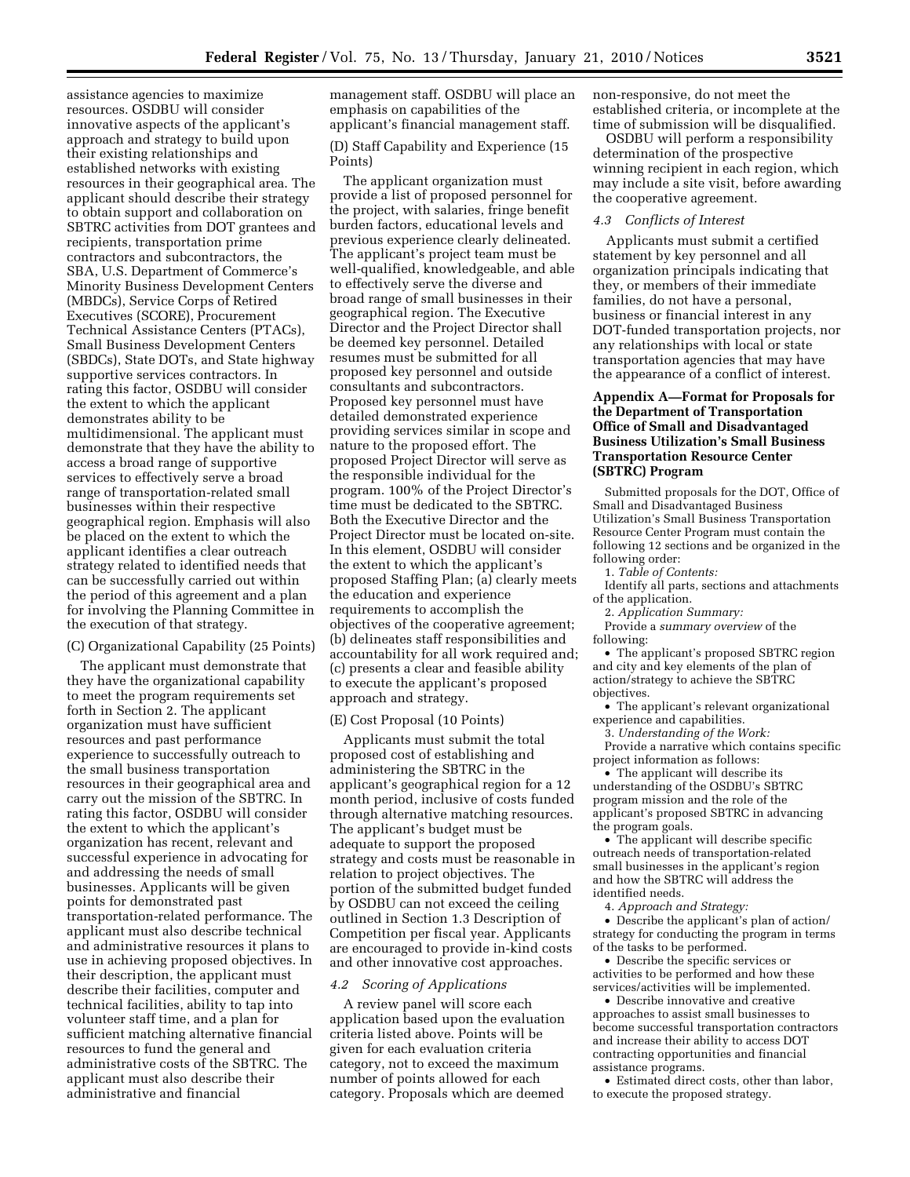assistance agencies to maximize resources. OSDBU will consider innovative aspects of the applicant's approach and strategy to build upon their existing relationships and established networks with existing resources in their geographical area. The applicant should describe their strategy to obtain support and collaboration on SBTRC activities from DOT grantees and recipients, transportation prime contractors and subcontractors, the SBA, U.S. Department of Commerce's Minority Business Development Centers (MBDCs), Service Corps of Retired Executives (SCORE), Procurement Technical Assistance Centers (PTACs), Small Business Development Centers (SBDCs), State DOTs, and State highway supportive services contractors. In rating this factor, OSDBU will consider the extent to which the applicant demonstrates ability to be multidimensional. The applicant must demonstrate that they have the ability to access a broad range of supportive services to effectively serve a broad range of transportation-related small businesses within their respective geographical region. Emphasis will also be placed on the extent to which the applicant identifies a clear outreach strategy related to identified needs that can be successfully carried out within the period of this agreement and a plan for involving the Planning Committee in the execution of that strategy.

### (C) Organizational Capability (25 Points)

The applicant must demonstrate that they have the organizational capability to meet the program requirements set forth in Section 2. The applicant organization must have sufficient resources and past performance experience to successfully outreach to the small business transportation resources in their geographical area and carry out the mission of the SBTRC. In rating this factor, OSDBU will consider the extent to which the applicant's organization has recent, relevant and successful experience in advocating for and addressing the needs of small businesses. Applicants will be given points for demonstrated past transportation-related performance. The applicant must also describe technical and administrative resources it plans to use in achieving proposed objectives. In their description, the applicant must describe their facilities, computer and technical facilities, ability to tap into volunteer staff time, and a plan for sufficient matching alternative financial resources to fund the general and administrative costs of the SBTRC. The applicant must also describe their administrative and financial

management staff. OSDBU will place an emphasis on capabilities of the applicant's financial management staff.

(D) Staff Capability and Experience (15 Points)

The applicant organization must provide a list of proposed personnel for the project, with salaries, fringe benefit burden factors, educational levels and previous experience clearly delineated. The applicant's project team must be well-qualified, knowledgeable, and able to effectively serve the diverse and broad range of small businesses in their geographical region. The Executive Director and the Project Director shall be deemed key personnel. Detailed resumes must be submitted for all proposed key personnel and outside consultants and subcontractors. Proposed key personnel must have detailed demonstrated experience providing services similar in scope and nature to the proposed effort. The proposed Project Director will serve as the responsible individual for the program. 100% of the Project Director's time must be dedicated to the SBTRC. Both the Executive Director and the Project Director must be located on-site. In this element, OSDBU will consider the extent to which the applicant's proposed Staffing Plan; (a) clearly meets the education and experience requirements to accomplish the objectives of the cooperative agreement; (b) delineates staff responsibilities and accountability for all work required and; (c) presents a clear and feasible ability to execute the applicant's proposed approach and strategy.

### (E) Cost Proposal (10 Points)

Applicants must submit the total proposed cost of establishing and administering the SBTRC in the applicant's geographical region for a 12 month period, inclusive of costs funded through alternative matching resources. The applicant's budget must be adequate to support the proposed strategy and costs must be reasonable in relation to project objectives. The portion of the submitted budget funded by OSDBU can not exceed the ceiling outlined in Section 1.3 Description of Competition per fiscal year. Applicants are encouraged to provide in-kind costs and other innovative cost approaches.

#### *4.2 Scoring of Applications*

A review panel will score each application based upon the evaluation criteria listed above. Points will be given for each evaluation criteria category, not to exceed the maximum number of points allowed for each category. Proposals which are deemed

non-responsive, do not meet the established criteria, or incomplete at the time of submission will be disqualified.

OSDBU will perform a responsibility determination of the prospective winning recipient in each region, which may include a site visit, before awarding the cooperative agreement.

#### *4.3 Conflicts of Interest*

Applicants must submit a certified statement by key personnel and all organization principals indicating that they, or members of their immediate families, do not have a personal, business or financial interest in any DOT-funded transportation projects, nor any relationships with local or state transportation agencies that may have the appearance of a conflict of interest.

# **Appendix A—Format for Proposals for the Department of Transportation Office of Small and Disadvantaged Business Utilization's Small Business Transportation Resource Center (SBTRC) Program**

Submitted proposals for the DOT, Office of Small and Disadvantaged Business Utilization's Small Business Transportation Resource Center Program must contain the following 12 sections and be organized in the following order:

1. *Table of Contents:* 

Identify all parts, sections and attachments of the application.

2. *Application Summary:* 

Provide a *summary overview* of the following:

• The applicant's proposed SBTRC region and city and key elements of the plan of action/strategy to achieve the SBTRC objectives.

• The applicant's relevant organizational experience and capabilities.

3. *Understanding of the Work:* 

Provide a narrative which contains specific project information as follows:

• The applicant will describe its understanding of the OSDBU's SBTRC program mission and the role of the applicant's proposed SBTRC in advancing the program goals.

• The applicant will describe specific outreach needs of transportation-related small businesses in the applicant's region and how the SBTRC will address the identified needs.

4. *Approach and Strategy:* 

• Describe the applicant's plan of action/ strategy for conducting the program in terms of the tasks to be performed.

• Describe the specific services or activities to be performed and how these services/activities will be implemented.

• Describe innovative and creative approaches to assist small businesses to become successful transportation contractors and increase their ability to access DOT contracting opportunities and financial assistance programs.

• Estimated direct costs, other than labor, to execute the proposed strategy.